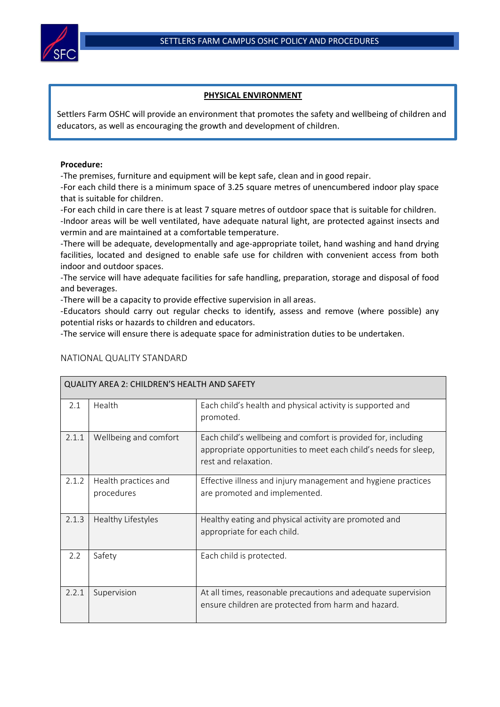## **PHYSICAL ENVIRONMENT**

Settlers Farm OSHC will provide an environment that promotes the safety and wellbeing of children and educators, as well as encouraging the growth and development of children.

## **Procedure:**

-The premises, furniture and equipment will be kept safe, clean and in good repair.

-For each child there is a minimum space of 3.25 square metres of unencumbered indoor play space that is suitable for children.

-For each child in care there is at least 7 square metres of outdoor space that is suitable for children. -Indoor areas will be well ventilated, have adequate natural light, are protected against insects and vermin and are maintained at a comfortable temperature.

-There will be adequate, developmentally and age-appropriate toilet, hand washing and hand drying facilities, located and designed to enable safe use for children with convenient access from both indoor and outdoor spaces.

-The service will have adequate facilities for safe handling, preparation, storage and disposal of food and beverages.

-There will be a capacity to provide effective supervision in all areas.

-Educators should carry out regular checks to identify, assess and remove (where possible) any potential risks or hazards to children and educators.

-The service will ensure there is adequate space for administration duties to be undertaken.

| QUALITY AREA 2: CHILDREN'S HEALTH AND SAFETY |                                    |                                                                                                                                                          |  |  |  |
|----------------------------------------------|------------------------------------|----------------------------------------------------------------------------------------------------------------------------------------------------------|--|--|--|
| 2.1                                          | Health                             | Each child's health and physical activity is supported and<br>promoted.                                                                                  |  |  |  |
| 2.1.1                                        | Wellbeing and comfort              | Each child's wellbeing and comfort is provided for, including<br>appropriate opportunities to meet each child's needs for sleep,<br>rest and relaxation. |  |  |  |
| 2.1.2                                        | Health practices and<br>procedures | Effective illness and injury management and hygiene practices<br>are promoted and implemented.                                                           |  |  |  |
| 2.1.3                                        | Healthy Lifestyles                 | Healthy eating and physical activity are promoted and<br>appropriate for each child.                                                                     |  |  |  |
| 2.2                                          | Safety                             | Each child is protected.                                                                                                                                 |  |  |  |
| 2.2.1                                        | Supervision                        | At all times, reasonable precautions and adequate supervision<br>ensure children are protected from harm and hazard.                                     |  |  |  |

## NATIONAL QUALITY STANDARD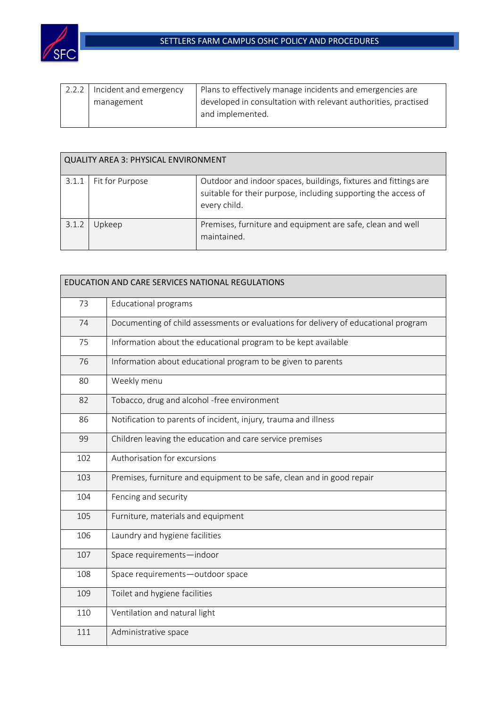

| 2.2.2   Incident and emergency | Plans to effectively manage incidents and emergencies are      |  |
|--------------------------------|----------------------------------------------------------------|--|
| management                     | developed in consultation with relevant authorities, practised |  |
|                                | and implemented.                                               |  |
|                                |                                                                |  |

| <b>QUALITY AREA 3: PHYSICAL ENVIRONMENT</b> |                 |                                                                                                                                                   |  |  |
|---------------------------------------------|-----------------|---------------------------------------------------------------------------------------------------------------------------------------------------|--|--|
| 3.1.1                                       | Fit for Purpose | Outdoor and indoor spaces, buildings, fixtures and fittings are<br>suitable for their purpose, including supporting the access of<br>every child. |  |  |
| 3.1.2                                       | Upkeep          | Premises, furniture and equipment are safe, clean and well<br>maintained.                                                                         |  |  |

| EDUCATION AND CARE SERVICES NATIONAL REGULATIONS |                                                                                     |  |
|--------------------------------------------------|-------------------------------------------------------------------------------------|--|
| 73                                               | <b>Educational programs</b>                                                         |  |
| 74                                               | Documenting of child assessments or evaluations for delivery of educational program |  |
| 75                                               | Information about the educational program to be kept available                      |  |
| 76                                               | Information about educational program to be given to parents                        |  |
| 80                                               | Weekly menu                                                                         |  |
| 82                                               | Tobacco, drug and alcohol -free environment                                         |  |
| 86                                               | Notification to parents of incident, injury, trauma and illness                     |  |
| 99                                               | Children leaving the education and care service premises                            |  |
| 102                                              | Authorisation for excursions                                                        |  |
| 103                                              | Premises, furniture and equipment to be safe, clean and in good repair              |  |
| 104                                              | Fencing and security                                                                |  |
| 105                                              | Furniture, materials and equipment                                                  |  |
| 106                                              | Laundry and hygiene facilities                                                      |  |
| 107                                              | Space requirements-indoor                                                           |  |
| 108                                              | Space requirements-outdoor space                                                    |  |
| 109                                              | Toilet and hygiene facilities                                                       |  |
| 110                                              | Ventilation and natural light                                                       |  |
| 111                                              | Administrative space                                                                |  |